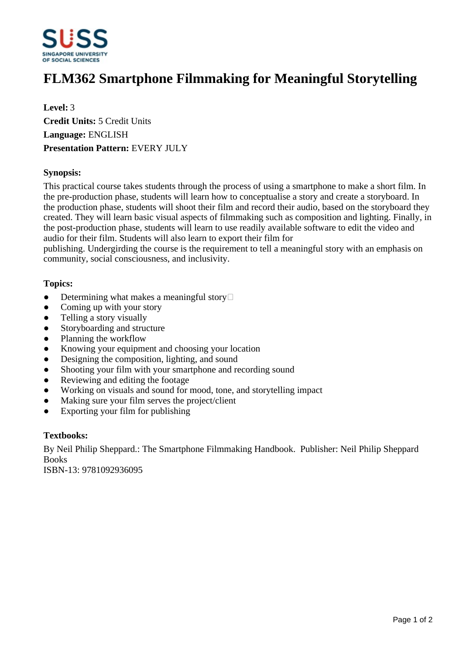

# **FLM362 Smartphone Filmmaking for Meaningful Storytelling**

**Level:** 3 **Credit Units:** 5 Credit Units **Language:** ENGLISH **Presentation Pattern:** EVERY JULY

### **Synopsis:**

This practical course takes students through the process of using a smartphone to make a short film. In the pre-production phase, students will learn how to conceptualise a story and create a storyboard. In the production phase, students will shoot their film and record their audio, based on the storyboard they created. They will learn basic visual aspects of filmmaking such as composition and lighting. Finally, in the post-production phase, students will learn to use readily available software to edit the video and audio for their film. Students will also learn to export their film for

publishing. Undergirding the course is the requirement to tell a meaningful story with an emphasis on community, social consciousness, and inclusivity.

#### **Topics:**

- $\bullet$  Determining what makes a meaningful story
- Coming up with your story
- ƔTelling a story visually
- Storyboarding and structure
- Planning the workflow
- Knowing your equipment and choosing your location
- Designing the composition, lighting, and sound
- Shooting your film with your smartphone and recording sound
- Reviewing and editing the footage
- Working on visuals and sound for mood, tone, and storytelling impact
- Making sure your film serves the project/client
- Exporting your film for publishing

#### **Textbooks:**

By Neil Philip Sheppard.: The Smartphone Filmmaking Handbook. Publisher: Neil Philip Sheppard Books

ISBN-13: 9781092936095